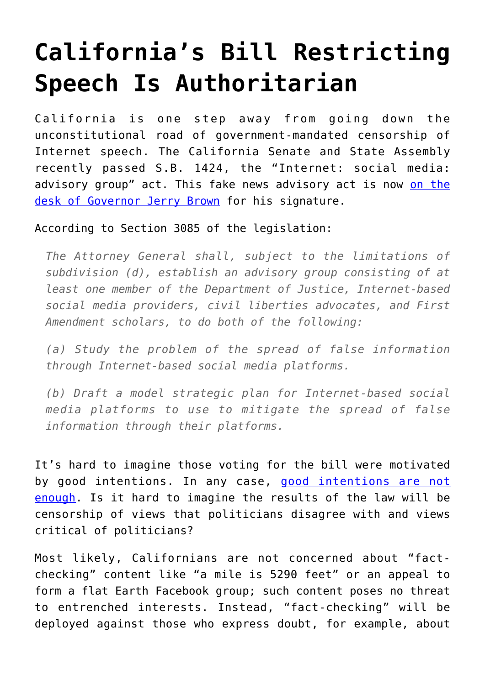# **[California's Bill Restricting](https://intellectualtakeout.org/2018/09/californias-bill-restricting-speech-is-authoritarian/) [Speech Is Authoritarian](https://intellectualtakeout.org/2018/09/californias-bill-restricting-speech-is-authoritarian/)**

California is one step away from going down the unconstitutional road of government-mandated censorship of Internet speech. The California Senate and State Assembly recently passed S.B. 1424, the "Internet: social media: advisory group" act. This fake news advisory act is now [on the](https://legiscan.com/CA/text/SB1424/2017) [desk of Governor Jerry Brown](https://legiscan.com/CA/text/SB1424/2017) for his signature.

According to Section 3085 of the legislation:

*The Attorney General shall, subject to the limitations of subdivision (d), establish an advisory group consisting of at least one member of the Department of Justice, Internet-based social media providers, civil liberties advocates, and First Amendment scholars, to do both of the following:*

*(a) Study the problem of the spread of false information through Internet-based social media platforms.*

*(b) Draft a model strategic plan for Internet-based social media platforms to use to mitigate the spread of false information through their platforms.*

It's hard to imagine those voting for the bill were motivated by good intentions. In any case, [good intentions are not](https://fee.org/articles/the-good-intentions-fallacy-is-driving-support-for-democratic-socialism/) [enough](https://fee.org/articles/the-good-intentions-fallacy-is-driving-support-for-democratic-socialism/). Is it hard to imagine the results of the law will be censorship of views that politicians disagree with and views critical of politicians?

Most likely, Californians are not concerned about "factchecking" content like "a mile is 5290 feet" or an appeal to form a flat Earth Facebook group; such content poses no threat to entrenched interests. Instead, "fact-checking" will be deployed against those who express doubt, for example, about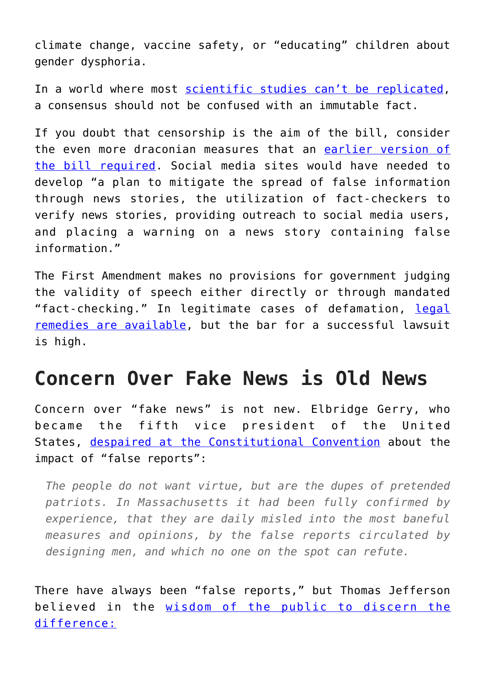climate change, vaccine safety, or "educating" children about gender dysphoria.

In a world where most [scientific studies can't be replicated,](https://www.bbc.com/news/science-environment-39054778) a consensus should not be confused with an immutable fact.

If you doubt that censorship is the aim of the bill, consider the even more draconian measures that an [earlier version of](https://legiscan.com/CA/text/SB1424/id/1768601) [the bill required](https://legiscan.com/CA/text/SB1424/id/1768601). Social media sites would have needed to develop "a plan to mitigate the spread of false information through news stories, the utilization of fact-checkers to verify news stories, providing outreach to social media users, and placing a warning on a news story containing false information."

The First Amendment makes no provisions for government judging the validity of speech either directly or through mandated "fact-checking." In legitimate cases of defamation, [legal](https://www.nolo.com/legal-encyclopedia/defamation-law-made-simple-29718.html) [remedies are available,](https://www.nolo.com/legal-encyclopedia/defamation-law-made-simple-29718.html) but the bar for a successful lawsuit is high.

### **Concern Over Fake News is Old News**

Concern over "fake news" is not new. Elbridge Gerry, who became the fifth vice president of the United States, [despaired at the Constitutional Convention](http://avalon.law.yale.edu/18th_century/debates_531.asp) about the impact of "false reports":

*The people do not want virtue, but are the dupes of pretended patriots. In Massachusetts it had been fully confirmed by experience, that they are daily misled into the most baneful measures and opinions, by the false reports circulated by designing men, and which no one on the spot can refute.*

There have always been "false reports," but Thomas Jefferson believed in the [wisdom of the public to discern the](https://founders.archives.gov/documents/Jefferson/01-39-02-0391) [difference:](https://founders.archives.gov/documents/Jefferson/01-39-02-0391)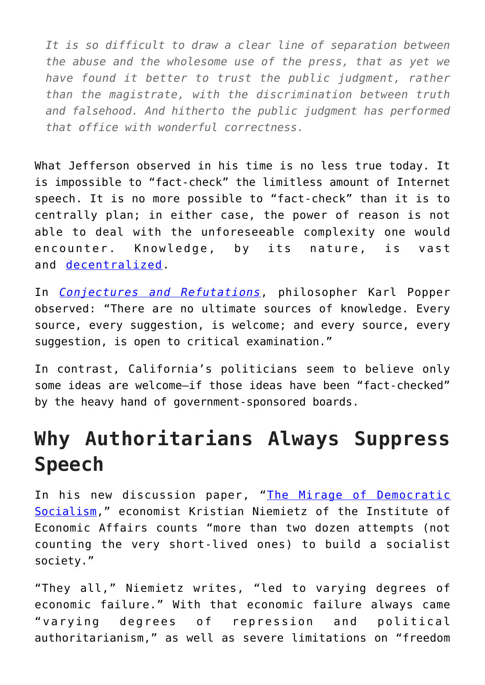*It is so difficult to draw a clear line of separation between the abuse and the wholesome use of the press, that as yet we have found it better to trust the public judgment, rather than the magistrate, with the discrimination between truth and falsehood. And hitherto the public judgment has performed that office with wonderful correctness.*

What Jefferson observed in his time is no less true today. It is impossible to "fact-check" the limitless amount of Internet speech. It is no more possible to "fact-check" than it is to centrally plan; in either case, the power of reason is not able to deal with the unforeseeable complexity one would encounter. Knowledge, by its nature, is vast and [decentralized.](https://fee.org/articles/the-use-of-knowledge-in-society/?gclid=EAIaIQobChMInKn17L293QIVCODICh3i6wRxEAAYASAAEgKSbfD_BwE)

In *[Conjectures and Refutations](https://www.amazon.com/Conjectures-Refutations-Scientific-Knowledge-Routledge/dp/0415285941)*, philosopher Karl Popper observed: "There are no ultimate sources of knowledge. Every source, every suggestion, is welcome; and every source, every suggestion, is open to critical examination."

In contrast, California's politicians seem to believe only some ideas are welcome—if those ideas have been "fact-checked" by the heavy hand of government-sponsored boards.

### **Why Authoritarians Always Suppress Speech**

In his new discussion paper, "[The Mirage of Democratic](https://iea.org.uk/publications/the-mirage-of-democratic-socialism/) [Socialism,](https://iea.org.uk/publications/the-mirage-of-democratic-socialism/)" economist Kristian Niemietz of the Institute of Economic Affairs counts "more than two dozen attempts (not counting the very short-lived ones) to build a socialist society."

"They all," Niemietz writes, "led to varying degrees of economic failure." With that economic failure always came "varying degrees of repression and political authoritarianism," as well as severe limitations on "freedom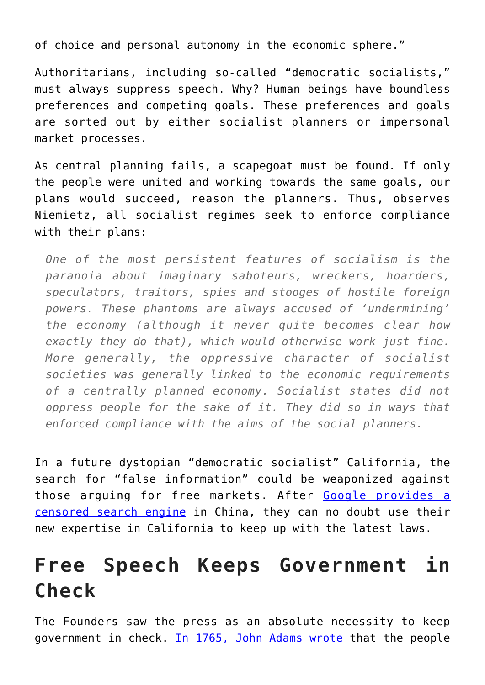of choice and personal autonomy in the economic sphere."

Authoritarians, including so-called "democratic socialists," must always suppress speech. Why? Human beings have boundless preferences and competing goals. These preferences and goals are sorted out by either socialist planners or impersonal market processes.

As central planning fails, a scapegoat must be found. If only the people were united and working towards the same goals, our plans would succeed, reason the planners. Thus, observes Niemietz, all socialist regimes seek to enforce compliance with their plans:

*One of the most persistent features of socialism is the paranoia about imaginary saboteurs, wreckers, hoarders, speculators, traitors, spies and stooges of hostile foreign powers. These phantoms are always accused of 'undermining' the economy (although it never quite becomes clear how exactly they do that), which would otherwise work just fine. More generally, the oppressive character of socialist societies was generally linked to the economic requirements of a centrally planned economy. Socialist states did not oppress people for the sake of it. They did so in ways that enforced compliance with the aims of the social planners.*

In a future dystopian "democratic socialist" California, the search for "false information" could be weaponized against those arguing for free markets. After [Google provides a](https://www.vox.com/world/2018/8/1/17638978/google-china-free-speech-censor-search-engine) [censored search engine](https://www.vox.com/world/2018/8/1/17638978/google-china-free-speech-censor-search-engine) in China, they can no doubt use their new expertise in California to keep up with the latest laws.

## **Free Speech Keeps Government in Check**

The Founders saw the press as an absolute necessity to keep government in check. [In 1765, John Adams wrote](http://teachingamericanhistory.org/library/document/a-dissertation-on-the-canon-and-feudal-law/) that the people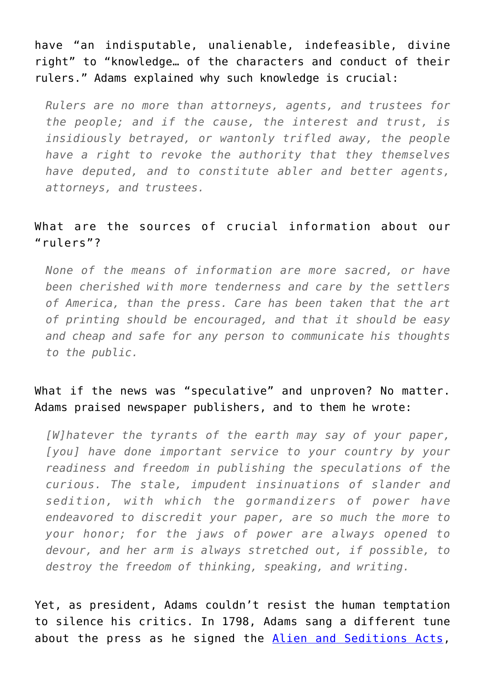have "an indisputable, unalienable, indefeasible, divine right" to "knowledge… of the characters and conduct of their rulers." Adams explained why such knowledge is crucial:

*Rulers are no more than attorneys, agents, and trustees for the people; and if the cause, the interest and trust, is insidiously betrayed, or wantonly trifled away, the people have a right to revoke the authority that they themselves have deputed, and to constitute abler and better agents, attorneys, and trustees.*

#### What are the sources of crucial information about our "rulers"?

*None of the means of information are more sacred, or have been cherished with more tenderness and care by the settlers of America, than the press. Care has been taken that the art of printing should be encouraged, and that it should be easy and cheap and safe for any person to communicate his thoughts to the public.*

#### What if the news was "speculative" and unproven? No matter. Adams praised newspaper publishers, and to them he wrote:

*[W]hatever the tyrants of the earth may say of your paper, [you] have done important service to your country by your readiness and freedom in publishing the speculations of the curious. The stale, impudent insinuations of slander and sedition, with which the gormandizers of power have endeavored to discredit your paper, are so much the more to your honor; for the jaws of power are always opened to devour, and her arm is always stretched out, if possible, to destroy the freedom of thinking, speaking, and writing.*

Yet, as president, Adams couldn't resist the human temptation to silence his critics. In 1798, Adams sang a different tune about the press as he signed the [Alien and Seditions Acts,](https://www.history.com/this-day-in-history/adams-passes-first-of-alien-and-sedition-acts)